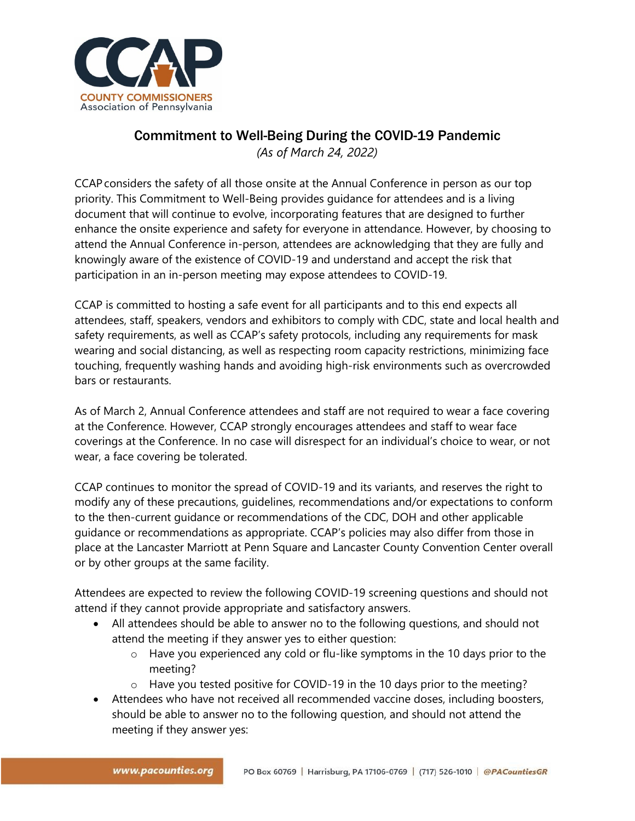

## Commitment to Well-Being During the COVID-19 Pandemic

*(As of March 24, 2022)*

CCAP considers the safety of all those onsite at the Annual Conference in person as our top priority. This Commitment to Well-Being provides guidance for attendees and is a living document that will continue to evolve, incorporating features that are designed to further enhance the onsite experience and safety for everyone in attendance. However, by choosing to attend the Annual Conference in-person, attendees are acknowledging that they are fully and knowingly aware of the existence of COVID-19 and understand and accept the risk that participation in an in-person meeting may expose attendees to COVID-19.

CCAP is committed to hosting a safe event for all participants and to this end expects all attendees, staff, speakers, vendors and exhibitors to comply with CDC, state and local health and safety requirements, as well as CCAP's safety protocols, including any requirements for mask wearing and social distancing, as well as respecting room capacity restrictions, minimizing face touching, frequently washing hands and avoiding high-risk environments such as overcrowded bars or restaurants.

As of March 2, Annual Conference attendees and staff are not required to wear a face covering at the Conference. However, CCAP strongly encourages attendees and staff to wear face coverings at the Conference. In no case will disrespect for an individual's choice to wear, or not wear, a face covering be tolerated.

CCAP continues to monitor the spread of COVID-19 and its variants, and reserves the right to modify any of these precautions, guidelines, recommendations and/or expectations to conform to the then-current guidance or recommendations of the CDC, DOH and other applicable guidance or recommendations as appropriate. CCAP's policies may also differ from those in place at the Lancaster Marriott at Penn Square and Lancaster County Convention Center overall or by other groups at the same facility.

Attendees are expected to review the following COVID-19 screening questions and should not attend if they cannot provide appropriate and satisfactory answers.

- All attendees should be able to answer no to the following questions, and should not attend the meeting if they answer yes to either question:
	- $\circ$  Have you experienced any cold or flu-like symptoms in the 10 days prior to the meeting?
	- o Have you tested positive for COVID-19 in the 10 days prior to the meeting?
- Attendees who have not received all recommended vaccine doses, including boosters, should be able to answer no to the following question, and should not attend the meeting if they answer yes: